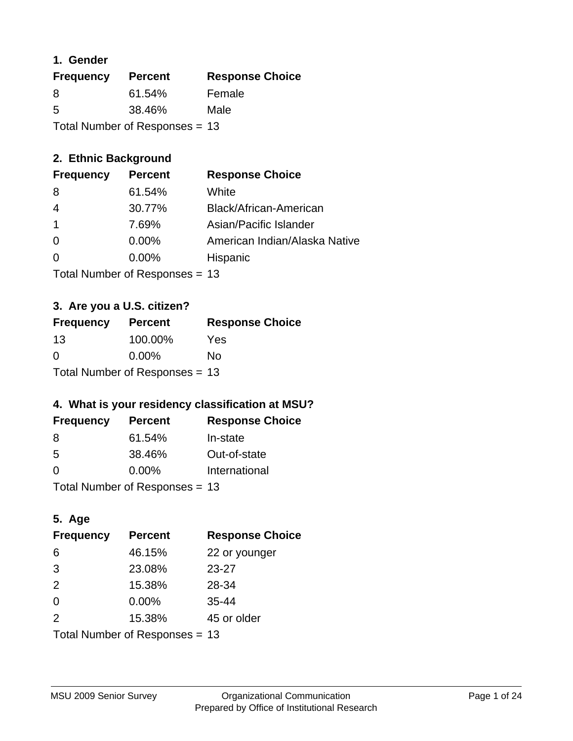### **1. Gender**

| <b>Frequency</b>                 | <b>Percent</b> | <b>Response Choice</b> |
|----------------------------------|----------------|------------------------|
| 8                                | 61.54%         | Female                 |
| 5                                | 38.46%         | Male                   |
| Total Number of Responses $= 13$ |                |                        |

# **2. Ethnic Background**

| <b>Frequency</b> | <b>Percent</b> | <b>Response Choice</b>        |
|------------------|----------------|-------------------------------|
| -8               | 61.54%         | White                         |
| 4                | 30.77%         | Black/African-American        |
| $\mathbf 1$      | 7.69%          | Asian/Pacific Islander        |
| $\Omega$         | 0.00%          | American Indian/Alaska Native |
| $\Omega$         | $0.00\%$       | Hispanic                      |
|                  |                |                               |

Total Number of Responses = 13

## **3. Are you a U.S. citizen?**

| <b>Frequency</b>                 | <b>Percent</b> | <b>Response Choice</b> |
|----------------------------------|----------------|------------------------|
| 13                               | 100.00%        | Yes                    |
| $\Omega$                         | $0.00\%$       | Nο                     |
| Total Number of Responses = $13$ |                |                        |

# **4. What is your residency classification at MSU?**

| <b>Frequency</b> | <b>Percent</b> | <b>Response Choice</b> |
|------------------|----------------|------------------------|
| -8               | 61.54%         | In-state               |
| -5               | 38.46%         | Out-of-state           |
| $\Omega$         | $0.00\%$       | International          |
|                  |                |                        |

Total Number of Responses = 13

# **5. Age**

| <b>Frequency</b>               | <b>Percent</b> | <b>Response Choice</b> |
|--------------------------------|----------------|------------------------|
| 6                              | 46.15%         | 22 or younger          |
| 3                              | 23.08%         | $23 - 27$              |
| 2                              | 15.38%         | 28-34                  |
| $\Omega$                       | 0.00%          | $35 - 44$              |
| 2                              | 15.38%         | 45 or older            |
| Total Number of Responses = 13 |                |                        |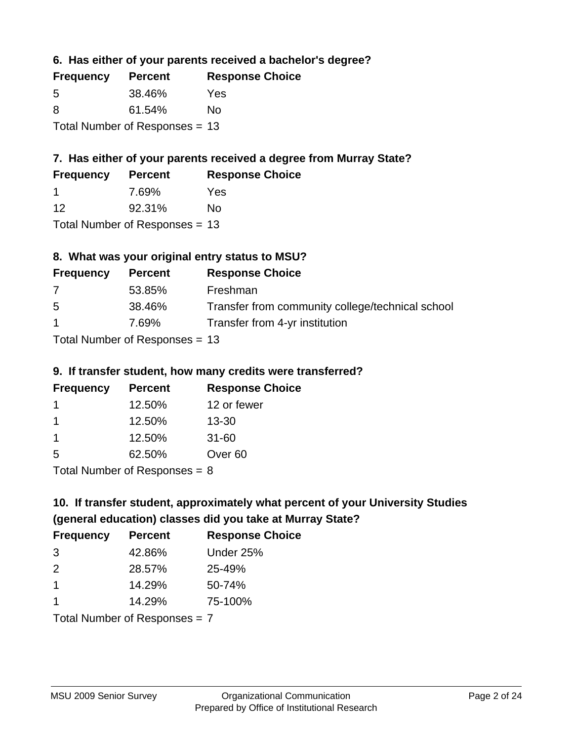**6. Has either of your parents received a bachelor's degree?**

| <b>Frequency</b>                 | <b>Percent</b> | <b>Response Choice</b> |
|----------------------------------|----------------|------------------------|
| 5                                | 38.46%         | Yes                    |
| 8                                | 61.54%         | Nο                     |
| Total Number of Responses $= 13$ |                |                        |

# **7. Has either of your parents received a degree from Murray State?**

| <b>Frequency</b> | <b>Percent</b> | <b>Response Choice</b> |
|------------------|----------------|------------------------|
|                  | 7.69%          | Yes                    |
| 12               | 92.31%         | No.                    |

Total Number of Responses = 13

# **8. What was your original entry status to MSU?**

| <b>Frequency</b> | <b>Percent</b>                   | <b>Response Choice</b>                           |
|------------------|----------------------------------|--------------------------------------------------|
| 7                | 53.85%                           | Freshman                                         |
| 5                | 38.46%                           | Transfer from community college/technical school |
| $\mathbf{1}$     | 7.69%                            | Transfer from 4-yr institution                   |
|                  | Total Number of Responses $= 13$ |                                                  |

#### **9. If transfer student, how many credits were transferred?**

| <b>Frequency</b>           | <b>Percent</b> | <b>Response Choice</b> |
|----------------------------|----------------|------------------------|
|                            | 12.50%         | 12 or fewer            |
|                            | 12.50%         | $13 - 30$              |
|                            | 12.50%         | $31 - 60$              |
| -5                         | 62.50%         | Over <sub>60</sub>     |
| Total Number of Deepersoon |                |                        |

Total Number of Responses = 8

# **10. If transfer student, approximately what percent of your University Studies (general education) classes did you take at Murray State?**

| <b>Frequency</b>                | <b>Percent</b> | <b>Response Choice</b> |
|---------------------------------|----------------|------------------------|
| 3                               | 42.86%         | Under 25%              |
| $\mathcal{P}$                   | 28.57%         | 25-49%                 |
| $\overline{1}$                  | 14.29%         | 50-74%                 |
| 1                               | 14.29%         | 75-100%                |
| Total Number of Responses $= 7$ |                |                        |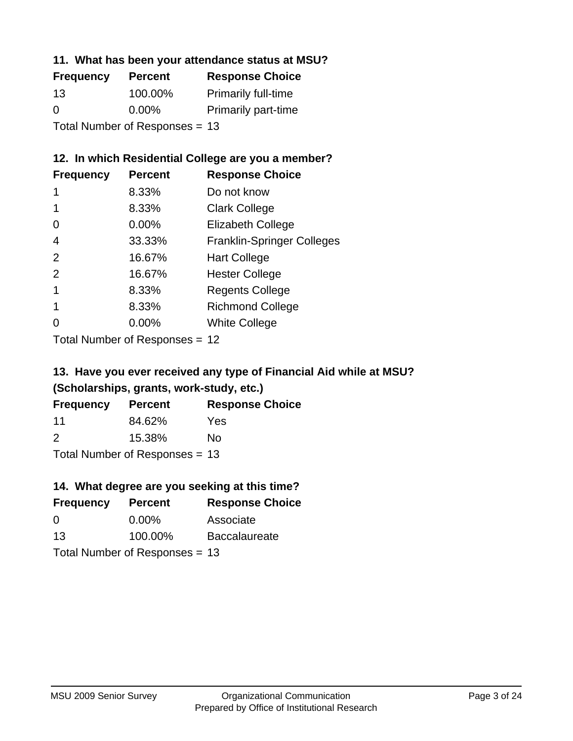#### **11. What has been your attendance status at MSU?**

| <b>Frequency</b>               | <b>Percent</b> | <b>Response Choice</b>     |
|--------------------------------|----------------|----------------------------|
| 13                             | 100.00%        | <b>Primarily full-time</b> |
| 0                              | $0.00\%$       | <b>Primarily part-time</b> |
| Total Number of Responses = 13 |                |                            |

# **12. In which Residential College are you a member?**

| <b>Frequency</b> | <b>Percent</b> | <b>Response Choice</b>            |
|------------------|----------------|-----------------------------------|
| 1                | 8.33%          | Do not know                       |
|                  | 8.33%          | <b>Clark College</b>              |
| 0                | 0.00%          | <b>Elizabeth College</b>          |
| 4                | 33.33%         | <b>Franklin-Springer Colleges</b> |
| 2                | 16.67%         | <b>Hart College</b>               |
| 2                | 16.67%         | <b>Hester College</b>             |
|                  | 8.33%          | <b>Regents College</b>            |
|                  | 8.33%          | <b>Richmond College</b>           |
|                  | 0.00%          | <b>White College</b>              |
|                  |                |                                   |

Total Number of Responses = 12

# **13. Have you ever received any type of Financial Aid while at MSU? (Scholarships, grants, work-study, etc.)**

| <b>Frequency</b> | <b>Percent</b>               | <b>Response Choice</b> |
|------------------|------------------------------|------------------------|
| 11               | 84.62%                       | Yes                    |
| 2                | 15.38%                       | No                     |
|                  | Total Number of Deepensee 42 |                        |

Total Number of Responses = 13

# **14. What degree are you seeking at this time?**

| <b>Frequency</b> | <b>Percent</b>                 | <b>Response Choice</b> |
|------------------|--------------------------------|------------------------|
| 0                | $0.00\%$                       | Associate              |
| 13               | 100.00%                        | <b>Baccalaureate</b>   |
|                  | Total Number of Responses = 13 |                        |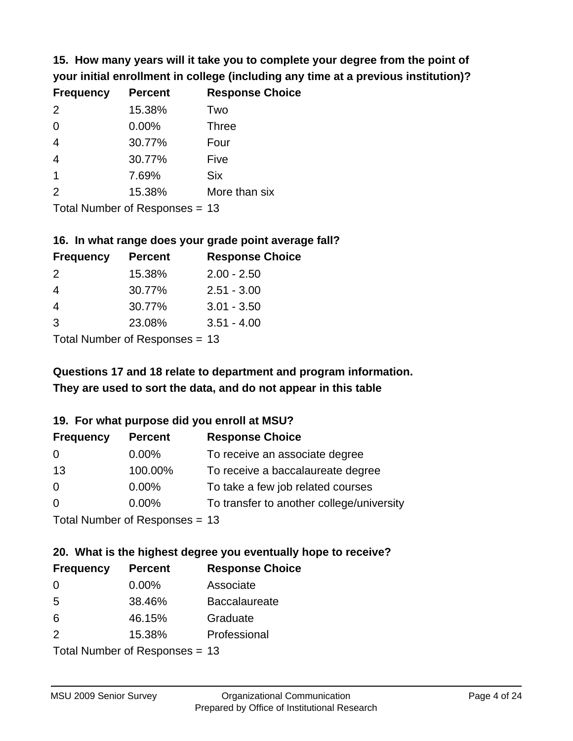**15. How many years will it take you to complete your degree from the point of your initial enrollment in college (including any time at a previous institution)?**

| <b>Frequency</b> | <b>Percent</b> | <b>Response Choice</b> |
|------------------|----------------|------------------------|
| 2                | 15.38%         | Two                    |
| 0                | 0.00%          | <b>Three</b>           |
| $\overline{4}$   | 30.77%         | Four                   |
| $\overline{4}$   | 30.77%         | Five                   |
| $\overline{1}$   | 7.69%          | <b>Six</b>             |
| 2                | 15.38%         | More than six          |
|                  |                |                        |

Total Number of Responses = 13

#### **16. In what range does your grade point average fall?**

| <b>Frequency</b> | <b>Percent</b> | <b>Response Choice</b> |
|------------------|----------------|------------------------|
| $\mathcal{P}$    | 15.38%         | $2.00 - 2.50$          |
| 4                | 30.77%         | $2.51 - 3.00$          |
| 4                | 30.77%         | $3.01 - 3.50$          |
| 3                | 23.08%         | $3.51 - 4.00$          |
|                  |                |                        |

Total Number of Responses = 13

# **They are used to sort the data, and do not appear in this table Questions 17 and 18 relate to department and program information.**

#### **19. For what purpose did you enroll at MSU?**

| <b>Frequency</b> | <b>Percent</b>                 | <b>Response Choice</b>                    |
|------------------|--------------------------------|-------------------------------------------|
| 0                | $0.00\%$                       | To receive an associate degree            |
| 13               | 100.00%                        | To receive a baccalaureate degree         |
| 0                | $0.00\%$                       | To take a few job related courses         |
| $\Omega$         | $0.00\%$                       | To transfer to another college/university |
|                  | Total Number of Responses = 13 |                                           |

# **20. What is the highest degree you eventually hope to receive?**

| <b>Frequency</b> | <b>Percent</b>             | <b>Response Choice</b> |
|------------------|----------------------------|------------------------|
| 0                | $0.00\%$                   | Associate              |
| 5                | 38.46%                     | <b>Baccalaureate</b>   |
| 6                | 46.15%                     | Graduate               |
| 2                | 15.38%                     | Professional           |
|                  | Total Number of Deepersoon |                        |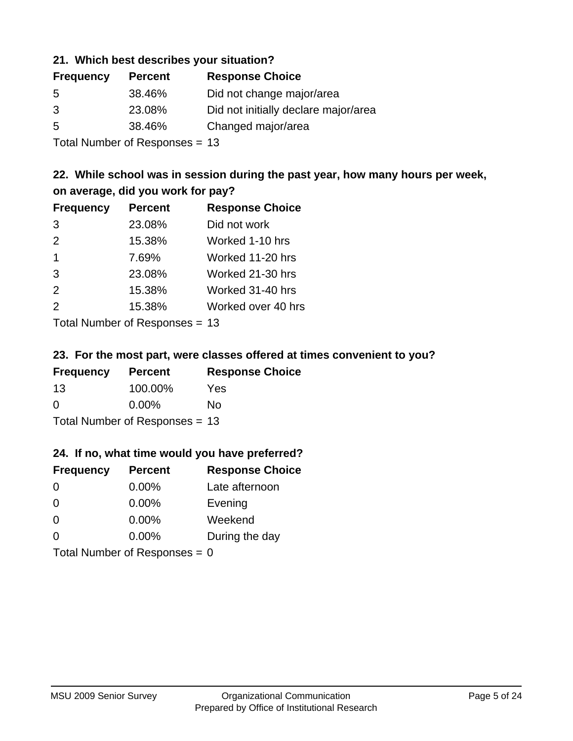#### **21. Which best describes your situation?**

| <b>Frequency</b> | <b>Percent</b> | <b>Response Choice</b>               |
|------------------|----------------|--------------------------------------|
| -5               | 38.46%         | Did not change major/area            |
| 3                | 23.08%         | Did not initially declare major/area |
| -5               | 38.46%         | Changed major/area                   |
|                  |                |                                      |

Total Number of Responses = 13

# **22. While school was in session during the past year, how many hours per week, on average, did you work for pay?**

| <b>Frequency</b> | <b>Percent</b> | <b>Response Choice</b> |
|------------------|----------------|------------------------|
| 3                | 23.08%         | Did not work           |
| 2                | 15.38%         | Worked 1-10 hrs        |
| $\overline{1}$   | 7.69%          | Worked 11-20 hrs       |
| 3                | 23.08%         | Worked 21-30 hrs       |
| 2                | 15.38%         | Worked 31-40 hrs       |
| 2                | 15.38%         | Worked over 40 hrs     |
|                  |                |                        |

Total Number of Responses = 13

#### **23. For the most part, were classes offered at times convenient to you?**

| <b>Frequency</b>               | <b>Percent</b> | <b>Response Choice</b> |  |
|--------------------------------|----------------|------------------------|--|
| 13                             | 100.00%        | Yes                    |  |
| $\Omega$                       | $0.00\%$       | Nο                     |  |
| Total Number of Responses = 13 |                |                        |  |

#### **24. If no, what time would you have preferred?**

| <b>Frequency</b>                | <b>Percent</b> | <b>Response Choice</b> |
|---------------------------------|----------------|------------------------|
| $\Omega$                        | $0.00\%$       | Late afternoon         |
| $\Omega$                        | 0.00%          | Evening                |
| 0                               | $0.00\%$       | Weekend                |
| $\Omega$                        | $0.00\%$       | During the day         |
| Total Number of Responses = $0$ |                |                        |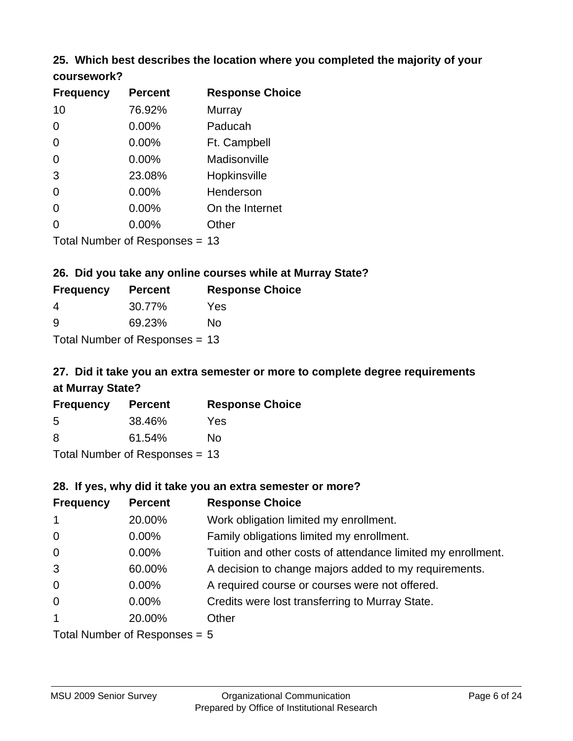# **25. Which best describes the location where you completed the majority of your**

| coursework? |  |
|-------------|--|
|-------------|--|

| <b>Frequency</b> | <b>Percent</b>                 | <b>Response Choice</b> |
|------------------|--------------------------------|------------------------|
| 10               | 76.92%                         | Murray                 |
| 0                | $0.00\%$                       | Paducah                |
| 0                | 0.00%                          | Ft. Campbell           |
| $\overline{0}$   | 0.00%                          | Madisonville           |
| 3                | 23.08%                         | Hopkinsville           |
| 0                | $0.00\%$                       | Henderson              |
| 0                | 0.00%                          | On the Internet        |
| 0                | 0.00%                          | Other                  |
|                  | Total Number of Responses = 13 |                        |

## **26. Did you take any online courses while at Murray State?**

| <b>Frequency</b> | <b>Percent</b>                   | <b>Response Choice</b> |
|------------------|----------------------------------|------------------------|
| 4                | 30.77%                           | Yes                    |
| <u>ှ</u>         | 69.23%                           | Nο                     |
|                  | Total Number of Responses = $13$ |                        |

# **27. Did it take you an extra semester or more to complete degree requirements at Murray State?**

| <b>Frequency</b>               | <b>Percent</b> | <b>Response Choice</b> |  |  |
|--------------------------------|----------------|------------------------|--|--|
| .5                             | 38.46%         | Yes                    |  |  |
| 8                              | 61.54%         | No                     |  |  |
| Total Number of Responses = 13 |                |                        |  |  |

**28. If yes, why did it take you an extra semester or more?**

| <b>Frequency</b> | <b>Percent</b>                 | <b>Response Choice</b>                                       |
|------------------|--------------------------------|--------------------------------------------------------------|
| $\mathbf{1}$     | 20.00%                         | Work obligation limited my enrollment.                       |
| $\mathbf 0$      | $0.00\%$                       | Family obligations limited my enrollment.                    |
| $\overline{0}$   | $0.00\%$                       | Tuition and other costs of attendance limited my enrollment. |
| 3                | 60.00%                         | A decision to change majors added to my requirements.        |
| $\mathbf 0$      | $0.00\%$                       | A required course or courses were not offered.               |
| $\mathbf 0$      | $0.00\%$                       | Credits were lost transferring to Murray State.              |
| $\mathbf{1}$     | 20.00%                         | Other                                                        |
|                  | Total Number of Poenances $-5$ |                                                              |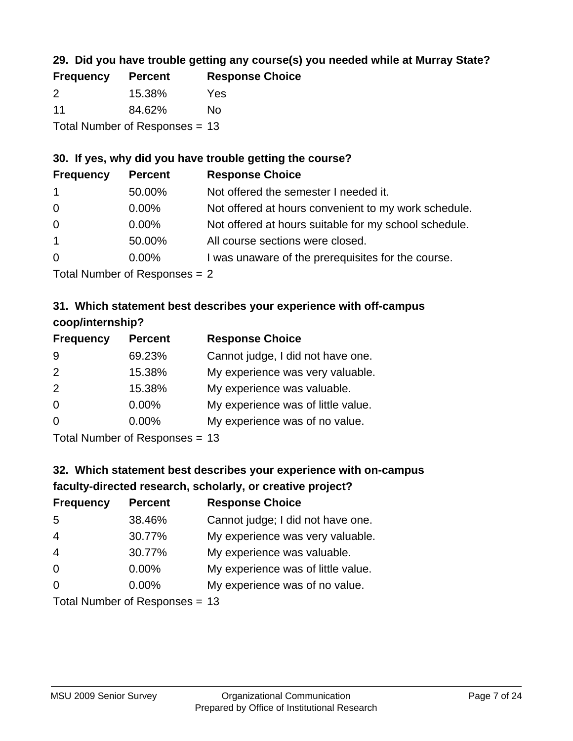# **29. Did you have trouble getting any course(s) you needed while at Murray State?**

| <b>Frequency</b> | <b>Percent</b>                 | <b>Response Choice</b> |
|------------------|--------------------------------|------------------------|
| $\mathcal{P}$    | 15.38%                         | Yes                    |
| 11               | 84.62%                         | Nο                     |
|                  | Total Number of Responses = 13 |                        |

# **30. If yes, why did you have trouble getting the course?**

| <b>Frequency</b> | <b>Percent</b> | <b>Response Choice</b>                                |
|------------------|----------------|-------------------------------------------------------|
| $\mathbf{1}$     | 50.00%         | Not offered the semester I needed it.                 |
| $\overline{0}$   | $0.00\%$       | Not offered at hours convenient to my work schedule.  |
| $\overline{0}$   | $0.00\%$       | Not offered at hours suitable for my school schedule. |
| $\overline{1}$   | 50.00%         | All course sections were closed.                      |
| $\overline{0}$   | $0.00\%$       | I was unaware of the prerequisites for the course.    |
|                  |                |                                                       |

Total Number of Responses = 2

# **31. Which statement best describes your experience with off-campus coop/internship?**

| <b>Frequency</b> | <b>Percent</b> | <b>Response Choice</b>             |
|------------------|----------------|------------------------------------|
| 9                | 69.23%         | Cannot judge, I did not have one.  |
| 2                | 15.38%         | My experience was very valuable.   |
| 2                | 15.38%         | My experience was valuable.        |
| $\Omega$         | $0.00\%$       | My experience was of little value. |
| $\Omega$         | 0.00%          | My experience was of no value.     |
|                  |                |                                    |

Total Number of Responses = 13

# **32. Which statement best describes your experience with on-campus faculty-directed research, scholarly, or creative project?**

| <b>Frequency</b> | <b>Percent</b>            | <b>Response Choice</b>             |
|------------------|---------------------------|------------------------------------|
| 5                | 38.46%                    | Cannot judge; I did not have one.  |
| $\overline{4}$   | 30.77%                    | My experience was very valuable.   |
| $\overline{4}$   | 30.77%                    | My experience was valuable.        |
| $\Omega$         | $0.00\%$                  | My experience was of little value. |
| $\Omega$         | 0.00%                     | My experience was of no value.     |
|                  | Total Number of Despasses |                                    |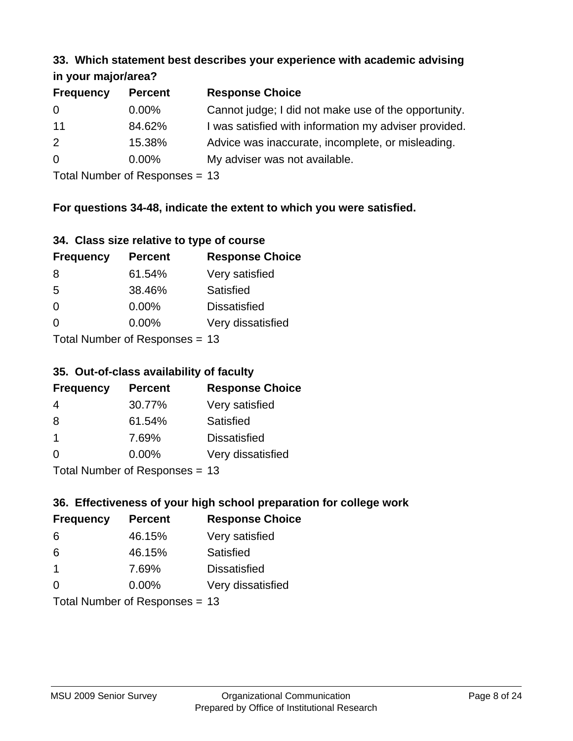#### **33. Which statement best describes your experience with academic advising in your major/area?**

| <b>Frequency</b> | <b>Percent</b> | <b>Response Choice</b>                                |
|------------------|----------------|-------------------------------------------------------|
| 0                | $0.00\%$       | Cannot judge; I did not make use of the opportunity.  |
| 11               | 84.62%         | I was satisfied with information my adviser provided. |
| 2                | 15.38%         | Advice was inaccurate, incomplete, or misleading.     |
| $\overline{0}$   | $0.00\%$       | My adviser was not available.                         |
|                  |                |                                                       |

Total Number of Responses = 13

# **For questions 34-48, indicate the extent to which you were satisfied.**

| 34. Class size relative to type of course |  |  |  |  |  |  |  |  |
|-------------------------------------------|--|--|--|--|--|--|--|--|
|-------------------------------------------|--|--|--|--|--|--|--|--|

| <b>Frequency</b> | <b>Percent</b>                  | <b>Response Choice</b> |
|------------------|---------------------------------|------------------------|
| 8                | 61.54%                          | Very satisfied         |
| 5                | 38.46%                          | Satisfied              |
| $\Omega$         | $0.00\%$                        | <b>Dissatisfied</b>    |
| $\Omega$         | $0.00\%$                        | Very dissatisfied      |
|                  | Total Number of Responses $-13$ |                        |

Total Number of Responses = 13

#### **35. Out-of-class availability of faculty**

| <b>Frequency</b> | <b>Percent</b>            | <b>Response Choice</b> |
|------------------|---------------------------|------------------------|
| 4                | 30.77%                    | Very satisfied         |
| 8                | 61.54%                    | Satisfied              |
| $\mathbf 1$      | 7.69%                     | <b>Dissatisfied</b>    |
| $\Omega$         | $0.00\%$                  | Very dissatisfied      |
|                  | Total Number of DoEROR 0. |                        |

Total Number of Responses = 13

# **36. Effectiveness of your high school preparation for college work**

| <b>Frequency</b> | <b>Percent</b>                 | <b>Response Choice</b> |
|------------------|--------------------------------|------------------------|
| 6                | 46.15%                         | Very satisfied         |
| 6                | 46.15%                         | Satisfied              |
| $\mathbf 1$      | 7.69%                          | <b>Dissatisfied</b>    |
| $\Omega$         | 0.00%                          | Very dissatisfied      |
|                  | Total Number of Responses = 13 |                        |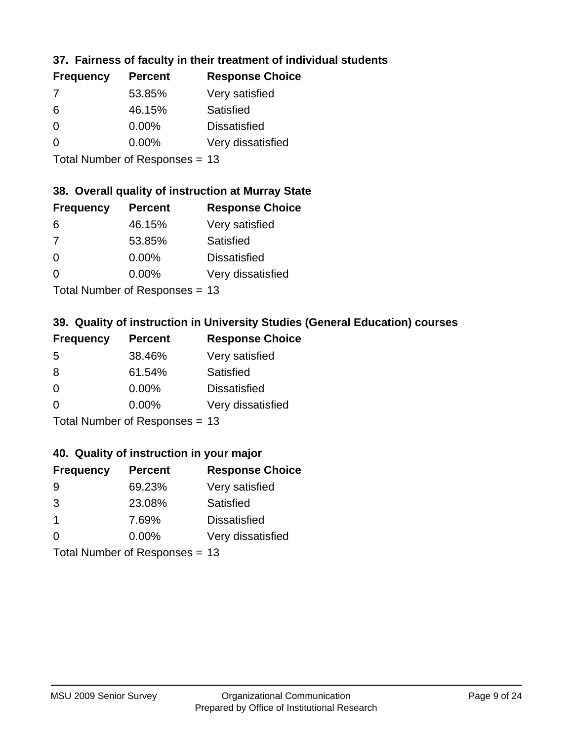# **37. Fairness of faculty in their treatment of individual students**

| <b>Frequency</b> | <b>Percent</b> | <b>Response Choice</b> |
|------------------|----------------|------------------------|
| 7                | 53.85%         | Very satisfied         |
| 6                | 46.15%         | Satisfied              |
| $\Omega$         | $0.00\%$       | <b>Dissatisfied</b>    |
| $\Omega$         | 0.00%          | Very dissatisfied      |
|                  |                |                        |

Total Number of Responses = 13

# **38. Overall quality of instruction at Murray State**

| <b>Frequency</b> | <b>Percent</b> | <b>Response Choice</b> |
|------------------|----------------|------------------------|
| 6                | 46.15%         | Very satisfied         |
| 7                | 53.85%         | Satisfied              |
| $\Omega$         | 0.00%          | <b>Dissatisfied</b>    |
| $\Omega$         | 0.00%          | Very dissatisfied      |
|                  |                |                        |

Total Number of Responses = 13

# **39. Quality of instruction in University Studies (General Education) courses**

| <b>Frequency</b> | <b>Percent</b>            | <b>Response Choice</b> |
|------------------|---------------------------|------------------------|
| .5               | 38.46%                    | Very satisfied         |
| 8                | 61.54%                    | Satisfied              |
| $\Omega$         | 0.00%                     | <b>Dissatisfied</b>    |
| $\Omega$         | 0.00%                     | Very dissatisfied      |
|                  | Total Number of Desponses |                        |

Total Number of Responses = 13

#### **40. Quality of instruction in your major**

| <b>Frequency</b> | <b>Percent</b>             | <b>Response Choice</b> |
|------------------|----------------------------|------------------------|
| 9                | 69.23%                     | Very satisfied         |
| 3                | 23.08%                     | Satisfied              |
| $\mathbf 1$      | 7.69%                      | <b>Dissatisfied</b>    |
| $\Omega$         | 0.00%                      | Very dissatisfied      |
|                  | Tatal Number of Desperance |                        |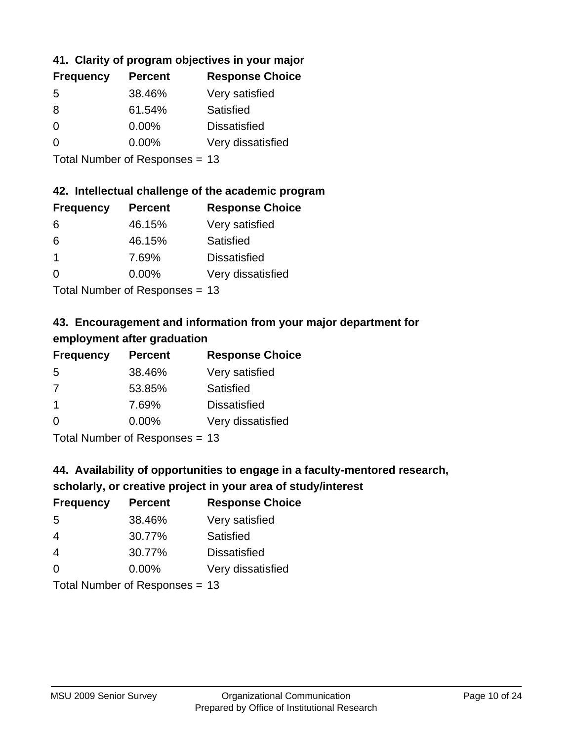# **41. Clarity of program objectives in your major**

| <b>Frequency</b> | <b>Percent</b> | <b>Response Choice</b> |
|------------------|----------------|------------------------|
| -5               | 38.46%         | Very satisfied         |
| 8                | 61.54%         | Satisfied              |
| ∩                | $0.00\%$       | <b>Dissatisfied</b>    |
| O                | $0.00\%$       | Very dissatisfied      |
|                  |                |                        |

Total Number of Responses = 13

#### **42. Intellectual challenge of the academic program**

| <b>Frequency</b> | <b>Percent</b> | <b>Response Choice</b> |
|------------------|----------------|------------------------|
| 6                | 46.15%         | Very satisfied         |
| 6                | 46.15%         | Satisfied              |
| -1               | 7.69%          | <b>Dissatisfied</b>    |
| $\Omega$         | 0.00%          | Very dissatisfied      |
|                  |                |                        |

Total Number of Responses = 13

# **43. Encouragement and information from your major department for employment after graduation**

| <b>Frequency</b> | <b>Percent</b> | <b>Response Choice</b> |
|------------------|----------------|------------------------|
| 5                | 38.46%         | Very satisfied         |
| 7                | 53.85%         | Satisfied              |
| $\mathbf 1$      | 7.69%          | <b>Dissatisfied</b>    |
| $\Omega$         | $0.00\%$       | Very dissatisfied      |
|                  |                |                        |

Total Number of Responses = 13

# **44. Availability of opportunities to engage in a faculty-mentored research,**

#### **scholarly, or creative project in your area of study/interest**

| <b>Frequency</b> | <b>Percent</b> | <b>Response Choice</b> |
|------------------|----------------|------------------------|
| .5               | 38.46%         | Very satisfied         |
| 4                | 30.77%         | Satisfied              |
| 4                | 30.77%         | <b>Dissatisfied</b>    |
| $\Omega$         | 0.00%          | Very dissatisfied      |
|                  |                |                        |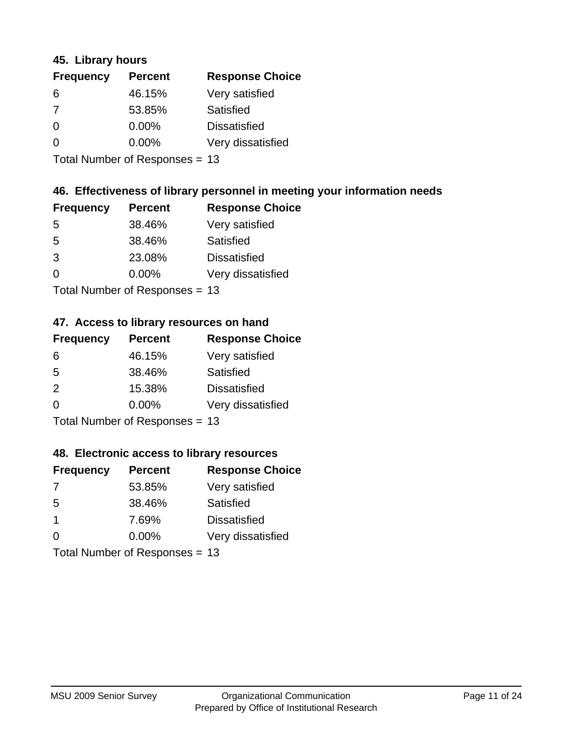#### **45. Library hours**

| <b>Frequency</b> | <b>Percent</b> | <b>Response Choice</b> |
|------------------|----------------|------------------------|
| 6                | 46.15%         | Very satisfied         |
| 7                | 53.85%         | Satisfied              |
| $\Omega$         | 0.00%          | <b>Dissatisfied</b>    |
| $\Omega$         | 0.00%          | Very dissatisfied      |
|                  |                |                        |

Total Number of Responses = 13

### **46. Effectiveness of library personnel in meeting your information needs**

| <b>Frequency</b> | <b>Percent</b> | <b>Response Choice</b> |
|------------------|----------------|------------------------|
| .5               | 38.46%         | Very satisfied         |
| .5               | 38.46%         | Satisfied              |
| 3                | 23.08%         | <b>Dissatisfied</b>    |
| $\Omega$         | 0.00%          | Very dissatisfied      |
|                  |                |                        |

Total Number of Responses = 13

#### **47. Access to library resources on hand**

| <b>Frequency</b> | <b>Percent</b>                 | <b>Response Choice</b> |
|------------------|--------------------------------|------------------------|
| 6                | 46.15%                         | Very satisfied         |
| 5                | 38.46%                         | Satisfied              |
| $\mathcal{P}$    | 15.38%                         | <b>Dissatisfied</b>    |
| $\Omega$         | $0.00\%$                       | Very dissatisfied      |
|                  | $Total Number of Doepopogog -$ |                        |

Total Number of Responses = 13

#### **48. Electronic access to library resources**

| <b>Frequency</b>          | <b>Percent</b> | <b>Response Choice</b> |
|---------------------------|----------------|------------------------|
| 7                         | 53.85%         | Very satisfied         |
| 5                         | 38.46%         | Satisfied              |
| -1                        | 7.69%          | <b>Dissatisfied</b>    |
| $\Omega$                  | 0.00%          | Very dissatisfied      |
| Total Number of Deepersee |                |                        |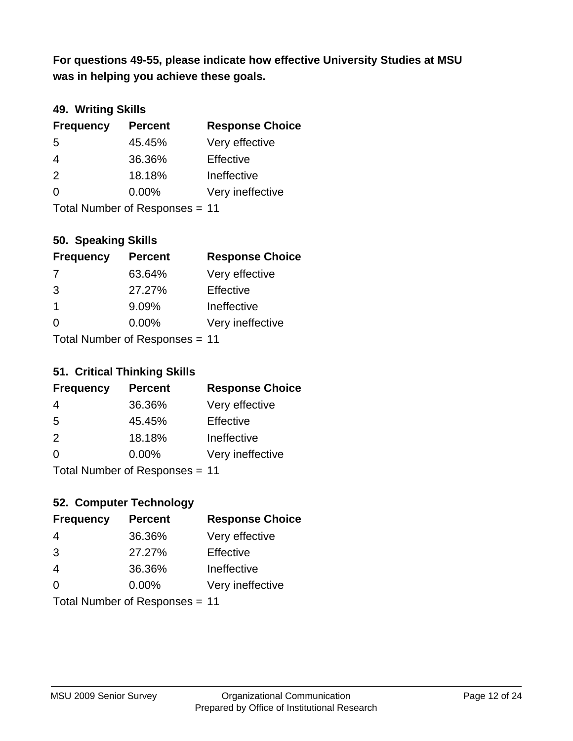**was in helping you achieve these goals. For questions 49-55, please indicate how effective University Studies at MSU** 

# **49. Writing Skills**

| <b>Frequency</b>               | <b>Percent</b> | <b>Response Choice</b> |
|--------------------------------|----------------|------------------------|
| 5                              | 45.45%         | Very effective         |
| $\overline{4}$                 | 36.36%         | Effective              |
| 2                              | 18.18%         | Ineffective            |
| $\Omega$                       | $0.00\%$       | Very ineffective       |
| Total Number of Responses = 11 |                |                        |

### **50. Speaking Skills**

| <b>Frequency</b> | <b>Percent</b>                 | <b>Response Choice</b> |
|------------------|--------------------------------|------------------------|
| -7               | 63.64%                         | Very effective         |
| 3                | 27.27%                         | Effective              |
| $\mathbf 1$      | 9.09%                          | Ineffective            |
| $\Omega$         | $0.00\%$                       | Very ineffective       |
|                  | Total Number of Responses = 11 |                        |

#### **51. Critical Thinking Skills**

| <b>Frequency</b> | <b>Percent</b>            | <b>Response Choice</b> |
|------------------|---------------------------|------------------------|
| 4                | 36.36%                    | Very effective         |
| 5                | 45.45%                    | Effective              |
| 2                | 18.18%                    | Ineffective            |
| $\Omega$         | 0.00%                     | Very ineffective       |
|                  | Total Number of Deepensee | 4 A                    |

Total Number of Responses = 11

# **52. Computer Technology**

| <b>Frequency</b>               | <b>Percent</b> | <b>Response Choice</b> |
|--------------------------------|----------------|------------------------|
| 4                              | 36.36%         | Very effective         |
| 3                              | 27.27%         | Effective              |
| $\overline{4}$                 | 36.36%         | Ineffective            |
| $\Omega$                       | 0.00%          | Very ineffective       |
| Total Number of Responses = 11 |                |                        |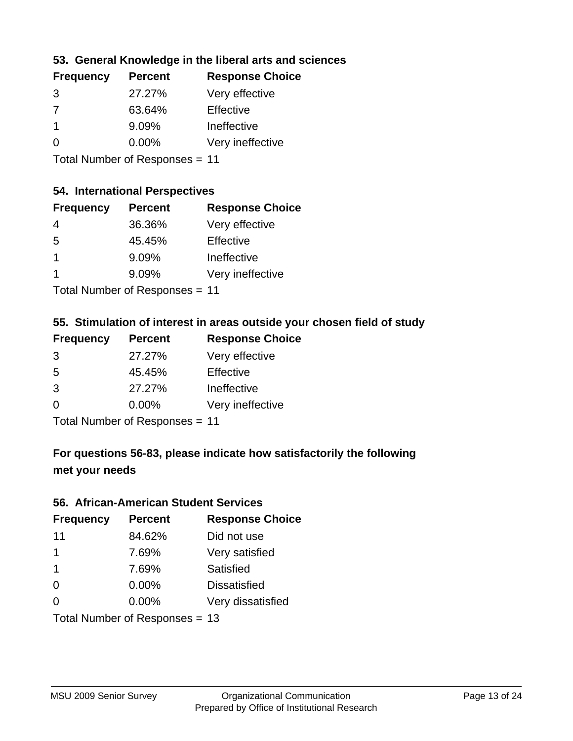## **53. General Knowledge in the liberal arts and sciences**

| <b>Frequency</b> | <b>Percent</b> | <b>Response Choice</b> |
|------------------|----------------|------------------------|
| 3                | 27.27%         | Very effective         |
| 7                | 63.64%         | Effective              |
|                  | 9.09%          | Ineffective            |
| ∩                | 0.00%          | Very ineffective       |
|                  |                |                        |

Total Number of Responses = 11

#### **54. International Perspectives**

| <b>Frequency</b> | <b>Percent</b> | <b>Response Choice</b> |
|------------------|----------------|------------------------|
| 4                | 36.36%         | Very effective         |
| .5               | 45.45%         | Effective              |
| -1               | 9.09%          | Ineffective            |
| 1                | 9.09%          | Very ineffective       |
|                  |                |                        |

Total Number of Responses = 11

#### **55. Stimulation of interest in areas outside your chosen field of study**

| <b>Frequency</b> | <b>Percent</b>              | <b>Response Choice</b> |
|------------------|-----------------------------|------------------------|
| 3                | 27.27%                      | Very effective         |
| 5                | 45.45%                      | Effective              |
| 3                | 27.27%                      | Ineffective            |
| $\Omega$         | 0.00%                       | Very ineffective       |
|                  | Tatal Massakan af Dagmannar |                        |

Total Number of Responses = 11

# **For questions 56-83, please indicate how satisfactorily the following met your needs**

#### **56. African-American Student Services**

| <b>Frequency</b> | <b>Percent</b>                 | <b>Response Choice</b> |
|------------------|--------------------------------|------------------------|
| 11               | 84.62%                         | Did not use            |
| 1                | 7.69%                          | Very satisfied         |
| 1                | 7.69%                          | Satisfied              |
| 0                | $0.00\%$                       | <b>Dissatisfied</b>    |
| $\Omega$         | 0.00%                          | Very dissatisfied      |
|                  | Total Number of Responses = 13 |                        |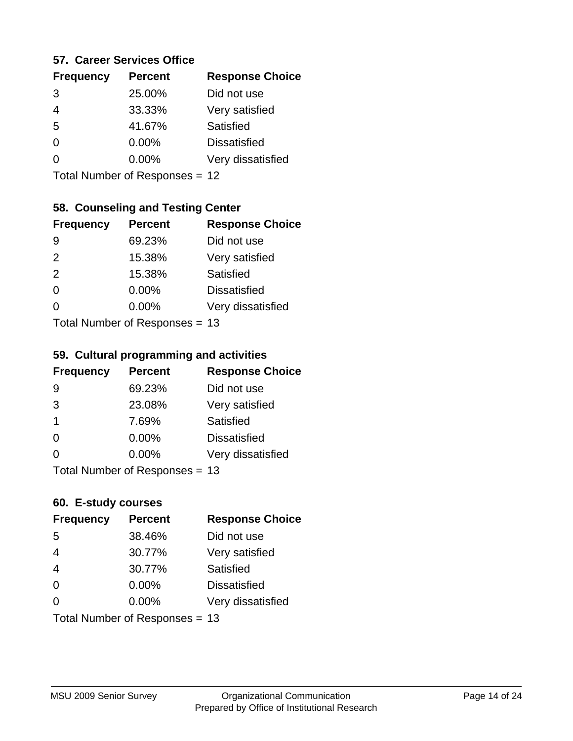#### **57. Career Services Office**

| <b>Frequency</b> | <b>Percent</b> | <b>Response Choice</b> |
|------------------|----------------|------------------------|
| 3                | 25.00%         | Did not use            |
| 4                | 33.33%         | Very satisfied         |
| 5                | 41.67%         | Satisfied              |
| ∩                | 0.00%          | <b>Dissatisfied</b>    |
|                  | $0.00\%$       | Very dissatisfied      |
|                  |                |                        |

Total Number of Responses = 12

# **58. Counseling and Testing Center**

| <b>Frequency</b> | <b>Percent</b>            | <b>Response Choice</b> |
|------------------|---------------------------|------------------------|
| 9                | 69.23%                    | Did not use            |
| 2                | 15.38%                    | Very satisfied         |
| 2                | 15.38%                    | <b>Satisfied</b>       |
| $\Omega$         | 0.00%                     | <b>Dissatisfied</b>    |
| ∩                | 0.00%                     | Very dissatisfied      |
|                  | Total Number of Desponses |                        |

Total Number of Responses = 13

#### **59. Cultural programming and activities**

| <b>Frequency</b> | <b>Percent</b>                 | <b>Response Choice</b> |
|------------------|--------------------------------|------------------------|
| 9                | 69.23%                         | Did not use            |
| 3                | 23.08%                         | Very satisfied         |
| $\mathbf 1$      | 7.69%                          | Satisfied              |
| $\Omega$         | $0.00\%$                       | <b>Dissatisfied</b>    |
| $\Omega$         | 0.00%                          | Very dissatisfied      |
|                  | Total Number of Responses = 13 |                        |

#### **60. E-study courses**

| <b>Frequency</b> | <b>Percent</b>                 | <b>Response Choice</b> |
|------------------|--------------------------------|------------------------|
| 5                | 38.46%                         | Did not use            |
| $\overline{4}$   | 30.77%                         | Very satisfied         |
| $\overline{4}$   | 30.77%                         | Satisfied              |
| $\Omega$         | 0.00%                          | <b>Dissatisfied</b>    |
| $\Omega$         | 0.00%                          | Very dissatisfied      |
|                  | Total Number of Responses = 13 |                        |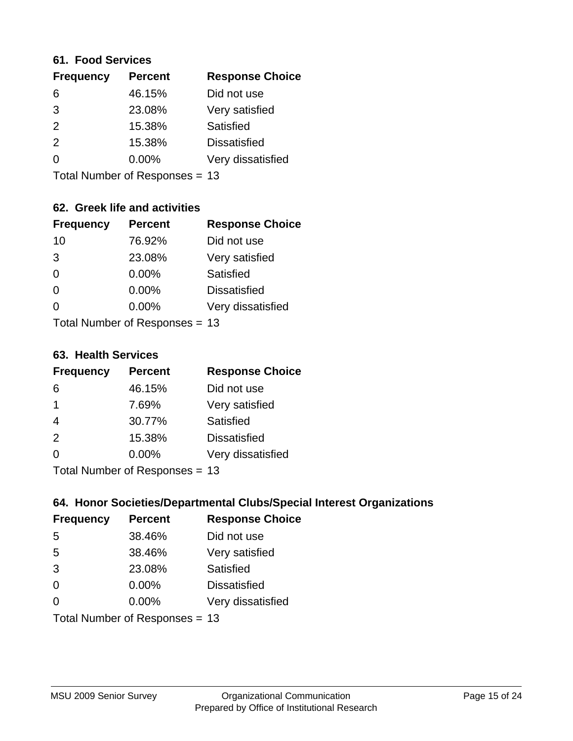#### **61. Food Services**

| <b>Frequency</b> | <b>Percent</b> | <b>Response Choice</b> |
|------------------|----------------|------------------------|
| 6                | 46.15%         | Did not use            |
| 3                | 23.08%         | Very satisfied         |
| 2                | 15.38%         | Satisfied              |
| 2                | 15.38%         | <b>Dissatisfied</b>    |
| $\Omega$         | $0.00\%$       | Very dissatisfied      |
|                  |                |                        |

Total Number of Responses = 13

# **62. Greek life and activities**

| <b>Frequency</b> | <b>Percent</b>                 | <b>Response Choice</b> |
|------------------|--------------------------------|------------------------|
| 10               | 76.92%                         | Did not use            |
| 3                | 23.08%                         | Very satisfied         |
| $\Omega$         | 0.00%                          | <b>Satisfied</b>       |
| $\Omega$         | 0.00%                          | <b>Dissatisfied</b>    |
| 0                | $0.00\%$                       | Very dissatisfied      |
|                  | Total Number of Responses = 13 |                        |

#### **63. Health Services**

| <b>Frequency</b> | <b>Percent</b>            | <b>Response Choice</b> |
|------------------|---------------------------|------------------------|
| 6                | 46.15%                    | Did not use            |
| $\mathbf 1$      | 7.69%                     | Very satisfied         |
| 4                | 30.77%                    | <b>Satisfied</b>       |
| 2                | 15.38%                    | <b>Dissatisfied</b>    |
| $\Omega$         | $0.00\%$                  | Very dissatisfied      |
|                  | Total Number of Desponses |                        |

Total Number of Responses = 13

### **64. Honor Societies/Departmental Clubs/Special Interest Organizations**

| <b>Frequency</b> | <b>Percent</b>                 | <b>Response Choice</b> |
|------------------|--------------------------------|------------------------|
| 5                | 38.46%                         | Did not use            |
| 5                | 38.46%                         | Very satisfied         |
| 3                | 23.08%                         | Satisfied              |
| $\Omega$         | 0.00%                          | <b>Dissatisfied</b>    |
| $\Omega$         | 0.00%                          | Very dissatisfied      |
|                  | Total Number of Responses = 13 |                        |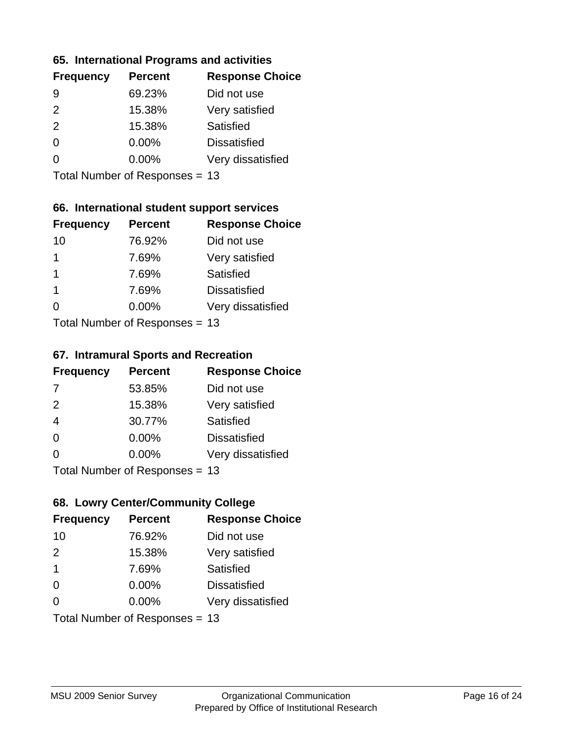#### **65. International Programs and activities**

| <b>Frequency</b> | <b>Percent</b> | <b>Response Choice</b> |
|------------------|----------------|------------------------|
| 9                | 69.23%         | Did not use            |
| $\mathcal{P}$    | 15.38%         | Very satisfied         |
| 2                | 15.38%         | Satisfied              |
| $\Omega$         | $0.00\%$       | <b>Dissatisfied</b>    |
|                  | $0.00\%$       | Very dissatisfied      |
|                  |                |                        |

Total Number of Responses = 13

### **66. International student support services**

| <b>Frequency</b> | <b>Percent</b>             | <b>Response Choice</b> |
|------------------|----------------------------|------------------------|
| 10               | 76.92%                     | Did not use            |
| 1                | 7.69%                      | Very satisfied         |
| 1                | 7.69%                      | <b>Satisfied</b>       |
| -1               | 7.69%                      | <b>Dissatisfied</b>    |
| ∩                | 0.00%                      | Very dissatisfied      |
|                  | Total Number of Deepersoon |                        |

Total Number of Responses = 13

#### **67. Intramural Sports and Recreation**

| <b>Frequency</b> | <b>Percent</b>               | <b>Response Choice</b> |
|------------------|------------------------------|------------------------|
| 7                | 53.85%                       | Did not use            |
| 2                | 15.38%                       | Very satisfied         |
| $\overline{4}$   | 30.77%                       | Satisfied              |
| $\Omega$         | 0.00%                        | <b>Dissatisfied</b>    |
| $\Omega$         | 0.00%                        | Very dissatisfied      |
|                  | $Total Number of Denonce 42$ |                        |

I otal Number of Responses = 13

# **68. Lowry Center/Community College**

| <b>Frequency</b>        | <b>Percent</b>                 | <b>Response Choice</b> |
|-------------------------|--------------------------------|------------------------|
| 10                      | 76.92%                         | Did not use            |
| 2                       | 15.38%                         | Very satisfied         |
| $\overline{\mathbf{1}}$ | 7.69%                          | Satisfied              |
| $\Omega$                | 0.00%                          | <b>Dissatisfied</b>    |
| $\Omega$                | 0.00%                          | Very dissatisfied      |
|                         | Total Number of Responses = 13 |                        |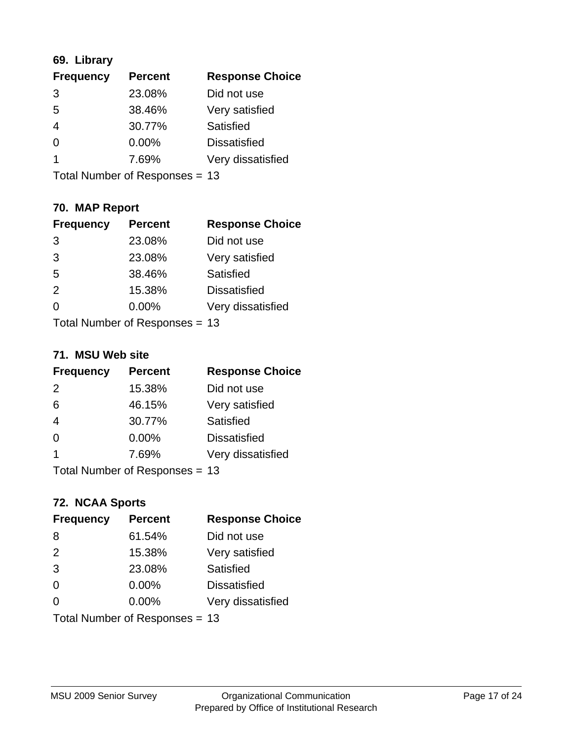# **69. Library**

| <b>Frequency</b> | <b>Percent</b> | <b>Response Choice</b> |
|------------------|----------------|------------------------|
| 3                | 23.08%         | Did not use            |
| 5                | 38.46%         | Very satisfied         |
| $\overline{4}$   | 30.77%         | <b>Satisfied</b>       |
| 0                | 0.00%          | <b>Dissatisfied</b>    |
|                  | 7.69%          | Very dissatisfied      |
|                  |                |                        |

Total Number of Responses = 13

# **70. MAP Report**

| <b>Frequency</b> | <b>Percent</b>                 | <b>Response Choice</b> |
|------------------|--------------------------------|------------------------|
| 3                | 23.08%                         | Did not use            |
| 3                | 23.08%                         | Very satisfied         |
| 5                | 38.46%                         | Satisfied              |
| 2                | 15.38%                         | <b>Dissatisfied</b>    |
| ∩                | 0.00%                          | Very dissatisfied      |
|                  | Total Number of Responses = 13 |                        |

#### **71. MSU Web site**

| <b>Frequency</b> | <b>Percent</b>                 | <b>Response Choice</b> |
|------------------|--------------------------------|------------------------|
| 2                | 15.38%                         | Did not use            |
| 6                | 46.15%                         | Very satisfied         |
| $\overline{4}$   | 30.77%                         | Satisfied              |
| $\Omega$         | 0.00%                          | <b>Dissatisfied</b>    |
| $\overline{1}$   | 7.69%                          | Very dissatisfied      |
|                  | Total Number of Responses = 13 |                        |

### **72. NCAA Sports**

| <b>Frequency</b> | <b>Percent</b>                 | <b>Response Choice</b> |
|------------------|--------------------------------|------------------------|
| 8                | 61.54%                         | Did not use            |
| 2                | 15.38%                         | Very satisfied         |
| 3                | 23.08%                         | <b>Satisfied</b>       |
| 0                | $0.00\%$                       | <b>Dissatisfied</b>    |
| $\Omega$         | 0.00%                          | Very dissatisfied      |
|                  | Total Number of Responses = 13 |                        |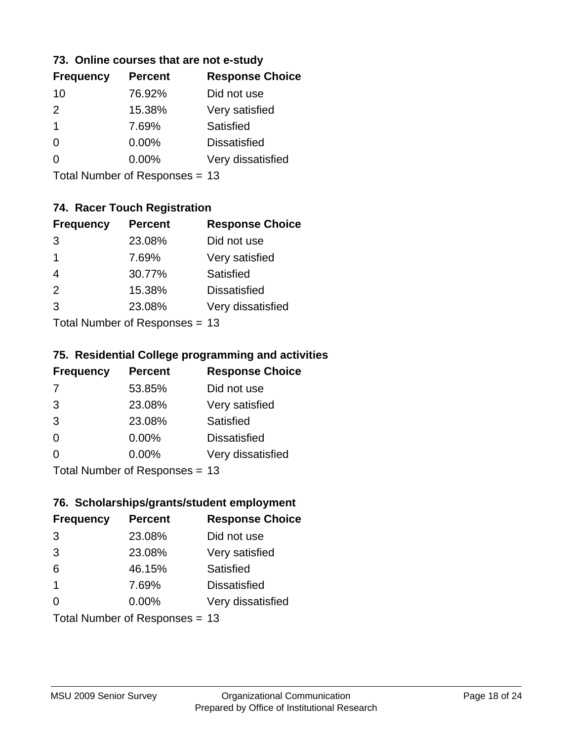#### **73. Online courses that are not e-study**

| <b>Frequency</b> | <b>Percent</b> | <b>Response Choice</b> |
|------------------|----------------|------------------------|
| 10               | 76.92%         | Did not use            |
| $\mathcal{P}$    | 15.38%         | Very satisfied         |
| 1                | 7.69%          | Satisfied              |
| 0                | $0.00\%$       | <b>Dissatisfied</b>    |
|                  | $0.00\%$       | Very dissatisfied      |
|                  |                |                        |

Total Number of Responses = 13

# **74. Racer Touch Registration**

| <b>Frequency</b>          | <b>Percent</b> | <b>Response Choice</b> |
|---------------------------|----------------|------------------------|
| 3                         | 23.08%         | Did not use            |
| 1                         | 7.69%          | Very satisfied         |
| $\overline{4}$            | 30.77%         | <b>Satisfied</b>       |
| 2                         | 15.38%         | <b>Dissatisfied</b>    |
| 3                         | 23.08%         | Very dissatisfied      |
| Total Number of Desponses |                |                        |

Total Number of Responses = 13

#### **75. Residential College programming and activities**

| <b>Frequency</b> | <b>Percent</b>            | <b>Response Choice</b> |
|------------------|---------------------------|------------------------|
| 7                | 53.85%                    | Did not use            |
| 3                | 23.08%                    | Very satisfied         |
| 3                | 23.08%                    | Satisfied              |
| $\Omega$         | 0.00%                     | <b>Dissatisfied</b>    |
| $\Omega$         | 0.00%                     | Very dissatisfied      |
|                  | Total Number of DoEROR 0. |                        |

I otal Number of Responses = 13

#### **76. Scholarships/grants/student employment**

| <b>Frequency</b>        | <b>Percent</b>                 | <b>Response Choice</b> |
|-------------------------|--------------------------------|------------------------|
| 3                       | 23.08%                         | Did not use            |
| 3                       | 23.08%                         | Very satisfied         |
| 6                       | 46.15%                         | Satisfied              |
| $\overline{\mathbf{1}}$ | 7.69%                          | <b>Dissatisfied</b>    |
| $\Omega$                | 0.00%                          | Very dissatisfied      |
|                         | Total Number of Responses = 13 |                        |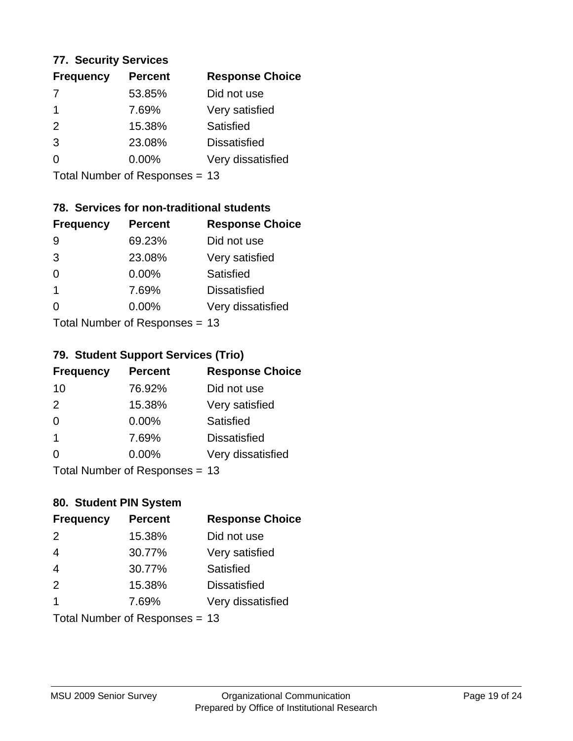#### **77. Security Services**

| <b>Frequency</b> | <b>Percent</b> | <b>Response Choice</b> |
|------------------|----------------|------------------------|
|                  | 53.85%         | Did not use            |
|                  | 7.69%          | Very satisfied         |
| $\mathcal{P}$    | 15.38%         | Satisfied              |
| 3                | 23.08%         | <b>Dissatisfied</b>    |
|                  | $0.00\%$       | Very dissatisfied      |
|                  |                |                        |

Total Number of Responses = 13

# **78. Services for non-traditional students**

| <b>Frequency</b>            | <b>Percent</b> | <b>Response Choice</b> |
|-----------------------------|----------------|------------------------|
| 9                           | 69.23%         | Did not use            |
| 3                           | 23.08%         | Very satisfied         |
| $\Omega$                    | $0.00\%$       | Satisfied              |
| -1                          | 7.69%          | <b>Dissatisfied</b>    |
| 0                           | 0.00%          | Very dissatisfied      |
| Total Number of Despasses - |                |                        |

Total Number of Responses = 13

#### **79. Student Support Services (Trio)**

| <b>Frequency</b> | <b>Percent</b>              | <b>Response Choice</b> |
|------------------|-----------------------------|------------------------|
| 10               | 76.92%                      | Did not use            |
| 2                | 15.38%                      | Very satisfied         |
| $\Omega$         | $0.00\%$                    | <b>Satisfied</b>       |
| $\mathbf 1$      | 7.69%                       | <b>Dissatisfied</b>    |
| $\Omega$         | 0.00%                       | Very dissatisfied      |
|                  | Total Number of Despasses - |                        |

Total Number of Responses = 13

# **80. Student PIN System**

| <b>Frequency</b>               | <b>Percent</b> | <b>Response Choice</b> |
|--------------------------------|----------------|------------------------|
| 2                              | 15.38%         | Did not use            |
| $\overline{4}$                 | 30.77%         | Very satisfied         |
| $\overline{4}$                 | 30.77%         | Satisfied              |
| 2                              | 15.38%         | <b>Dissatisfied</b>    |
| 1                              | 7.69%          | Very dissatisfied      |
| Total Number of Responses = 13 |                |                        |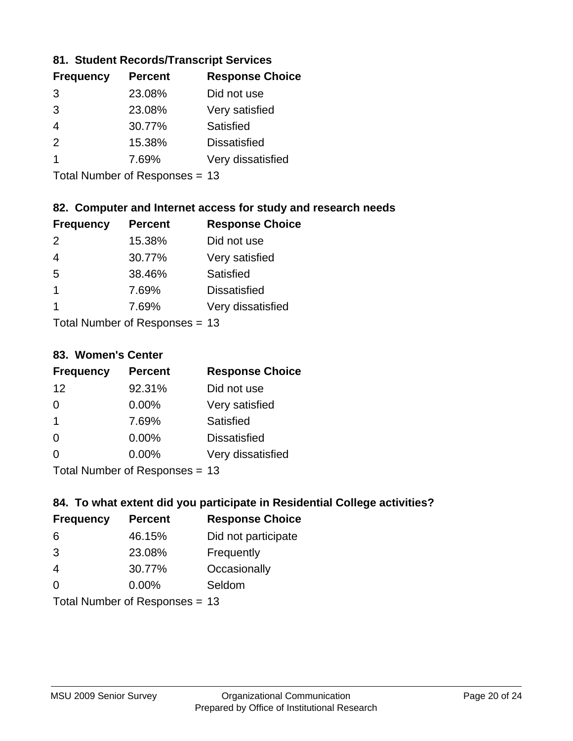### **81. Student Records/Transcript Services**

| <b>Percent</b> | <b>Response Choice</b> |
|----------------|------------------------|
| 23.08%         | Did not use            |
| 23.08%         | Very satisfied         |
| 30.77%         | Satisfied              |
| 15.38%         | <b>Dissatisfied</b>    |
| 7.69%          | Very dissatisfied      |
|                |                        |

Total Number of Responses = 13

## **82. Computer and Internet access for study and research needs**

| <b>Frequency</b>     | <b>Percent</b>             | <b>Response Choice</b> |
|----------------------|----------------------------|------------------------|
| $\mathcal{P}$        | 15.38%                     | Did not use            |
| 4                    | 30.77%                     | Very satisfied         |
| 5                    | 38.46%                     | Satisfied              |
| $\blacktriangleleft$ | 7.69%                      | <b>Dissatisfied</b>    |
| 1                    | 7.69%                      | Very dissatisfied      |
|                      | Tatal Number of Desperance |                        |

Total Number of Responses = 13

#### **83. Women's Center**

| <b>Frequency</b>          | <b>Percent</b> | <b>Response Choice</b> |
|---------------------------|----------------|------------------------|
| 12                        | 92.31%         | Did not use            |
| 0                         | 0.00%          | Very satisfied         |
| $\mathbf 1$               | 7.69%          | Satisfied              |
| $\Omega$                  | $0.00\%$       | <b>Dissatisfied</b>    |
| ∩                         | 0.00%          | Very dissatisfied      |
| Total Number of Desponses |                |                        |

Total Number of Responses = 13

### **84. To what extent did you participate in Residential College activities?**

| <b>Frequency</b> | <b>Percent</b>             | <b>Response Choice</b> |
|------------------|----------------------------|------------------------|
| 6                | 46.15%                     | Did not participate    |
| 3                | 23.08%                     | Frequently             |
| 4                | 30.77%                     | Occasionally           |
| $\Omega$         | 0.00%                      | Seldom                 |
|                  | Total Number of Denonone – |                        |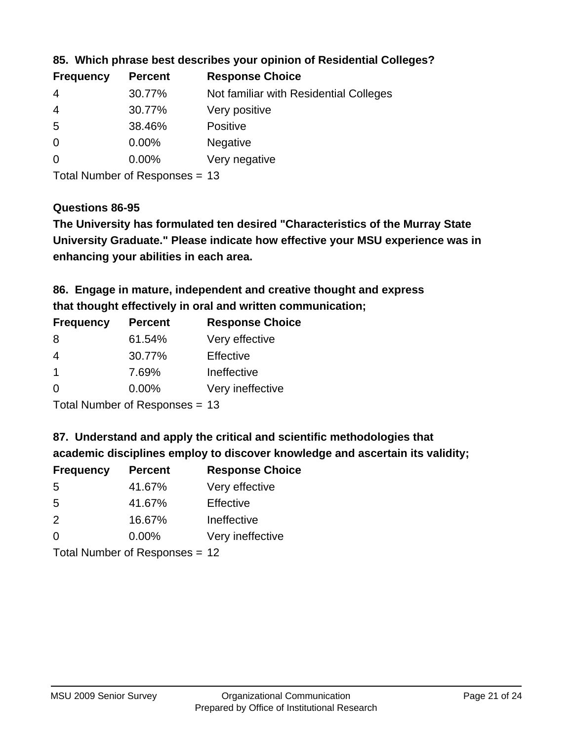| <b>Frequency</b> | <b>Percent</b> | <b>Response Choice</b>                 |
|------------------|----------------|----------------------------------------|
| 4                | 30.77%         | Not familiar with Residential Colleges |
| 4                | 30.77%         | Very positive                          |
| -5               | 38.46%         | <b>Positive</b>                        |
| $\overline{0}$   | 0.00%          | <b>Negative</b>                        |
| 0                | $0.00\%$       | Very negative                          |

**85. Which phrase best describes your opinion of Residential Colleges?**

Total Number of Responses = 13

#### **Questions 86-95**

**University Graduate." Please indicate how effective your MSU experience was in The University has formulated ten desired "Characteristics of the Murray State enhancing your abilities in each area.**

**86. Engage in mature, independent and creative thought and express that thought effectively in oral and written communication;**

| <b>Percent</b> | <b>Response Choice</b> |
|----------------|------------------------|
| 61.54%         | Very effective         |
| 30.77%         | Effective              |
| 7.69%          | Ineffective            |
| $0.00\%$       | Very ineffective       |
|                |                        |

Total Number of Responses = 13

**87. Understand and apply the critical and scientific methodologies that** 

**academic disciplines employ to discover knowledge and ascertain its validity;**

| <b>Frequency</b> | <b>Percent</b> | <b>Response Choice</b> |
|------------------|----------------|------------------------|
| .5               | 41.67%         | Very effective         |
| .5               | 41.67%         | Effective              |
| $\mathcal{P}$    | 16.67%         | Ineffective            |
| $\Omega$         | 0.00%          | Very ineffective       |
|                  |                |                        |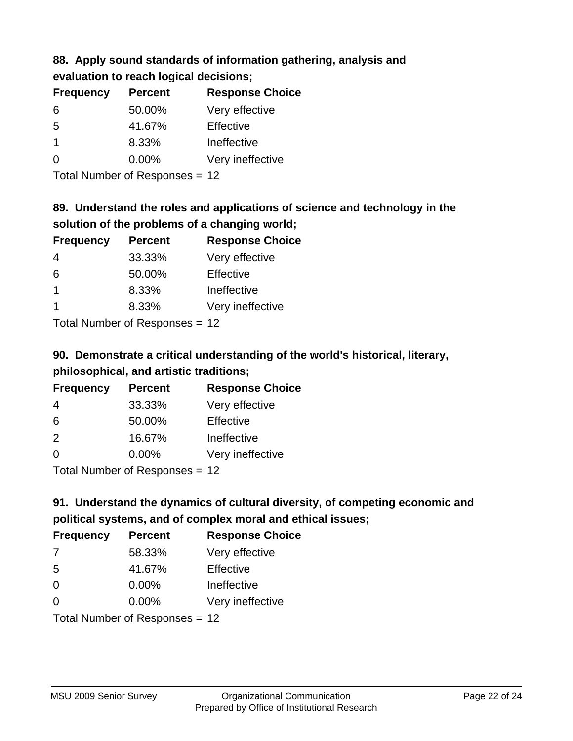### **88. Apply sound standards of information gathering, analysis and evaluation to reach logical decisions;**

| <b>Frequency</b> | <b>Percent</b> | <b>Response Choice</b> |
|------------------|----------------|------------------------|
| 6                | 50.00%         | Very effective         |
| 5                | 41.67%         | Effective              |
| -1               | 8.33%          | Ineffective            |
| $\Omega$         | 0.00%          | Very ineffective       |
|                  |                |                        |

Total Number of Responses = 12

# **89. Understand the roles and applications of science and technology in the solution of the problems of a changing world;**

| <b>Frequency</b>                        | <b>Percent</b> | <b>Response Choice</b> |
|-----------------------------------------|----------------|------------------------|
| $\overline{4}$                          | 33.33%         | Very effective         |
| 6                                       | 50.00%         | Effective              |
|                                         | 8.33%          | Ineffective            |
|                                         | 8.33%          | Very ineffective       |
| $T$ at all Message and $D$ are a second |                |                        |

Total Number of Responses = 12

# **90. Demonstrate a critical understanding of the world's historical, literary, philosophical, and artistic traditions;**

| <b>Frequency</b> | <b>Percent</b> | <b>Response Choice</b> |
|------------------|----------------|------------------------|
| 4                | 33.33%         | Very effective         |
| 6                | 50.00%         | Effective              |
| 2                | 16.67%         | Ineffective            |
| $\Omega$         | 0.00%          | Very ineffective       |
|                  |                |                        |

Total Number of Responses = 12

# **91. Understand the dynamics of cultural diversity, of competing economic and political systems, and of complex moral and ethical issues;**

| <b>Frequency</b> | <b>Percent</b>                 | <b>Response Choice</b> |
|------------------|--------------------------------|------------------------|
| 7                | 58.33%                         | Very effective         |
| 5                | 41.67%                         | Effective              |
| 0                | 0.00%                          | Ineffective            |
| $\Omega$         | 0.00%                          | Very ineffective       |
|                  | Total Number of Responses = 12 |                        |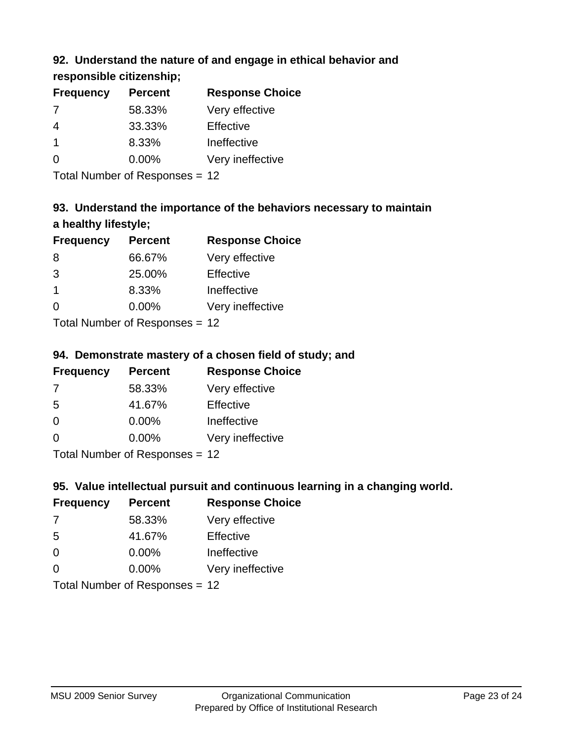# **92. Understand the nature of and engage in ethical behavior and**

**responsible citizenship;**

| <b>Frequency</b> | <b>Percent</b> | <b>Response Choice</b> |
|------------------|----------------|------------------------|
|                  | 58.33%         | Very effective         |
| 4                | 33.33%         | Effective              |
| 1                | 8.33%          | Ineffective            |
| ∩                | $0.00\%$       | Very ineffective       |

Total Number of Responses = 12

# **93. Understand the importance of the behaviors necessary to maintain a healthy lifestyle;**

| <b>Frequency</b>            | <b>Percent</b> | <b>Response Choice</b> |
|-----------------------------|----------------|------------------------|
| 8                           | 66.67%         | Very effective         |
| 3                           | 25.00%         | Effective              |
| -1                          | 8.33%          | Ineffective            |
| $\Omega$                    | $0.00\%$       | Very ineffective       |
| Tatal Manuela and Dannanana |                |                        |

Total Number of Responses = 12

# **94. Demonstrate mastery of a chosen field of study; and**

| <b>Frequency</b> | <b>Percent</b> | <b>Response Choice</b> |
|------------------|----------------|------------------------|
| 7                | 58.33%         | Very effective         |
| 5                | 41.67%         | Effective              |
| $\Omega$         | 0.00%          | Ineffective            |
| $\Omega$         | 0.00%          | Very ineffective       |
|                  |                |                        |

Total Number of Responses = 12

# **95. Value intellectual pursuit and continuous learning in a changing world.**

| <b>Frequency</b>           | <b>Percent</b> | <b>Response Choice</b> |
|----------------------------|----------------|------------------------|
| 7                          | 58.33%         | Very effective         |
| -5                         | 41.67%         | Effective              |
| $\Omega$                   | 0.00%          | Ineffective            |
| $\Omega$                   | 0.00%          | Very ineffective       |
| Total Number of Desperance |                |                        |